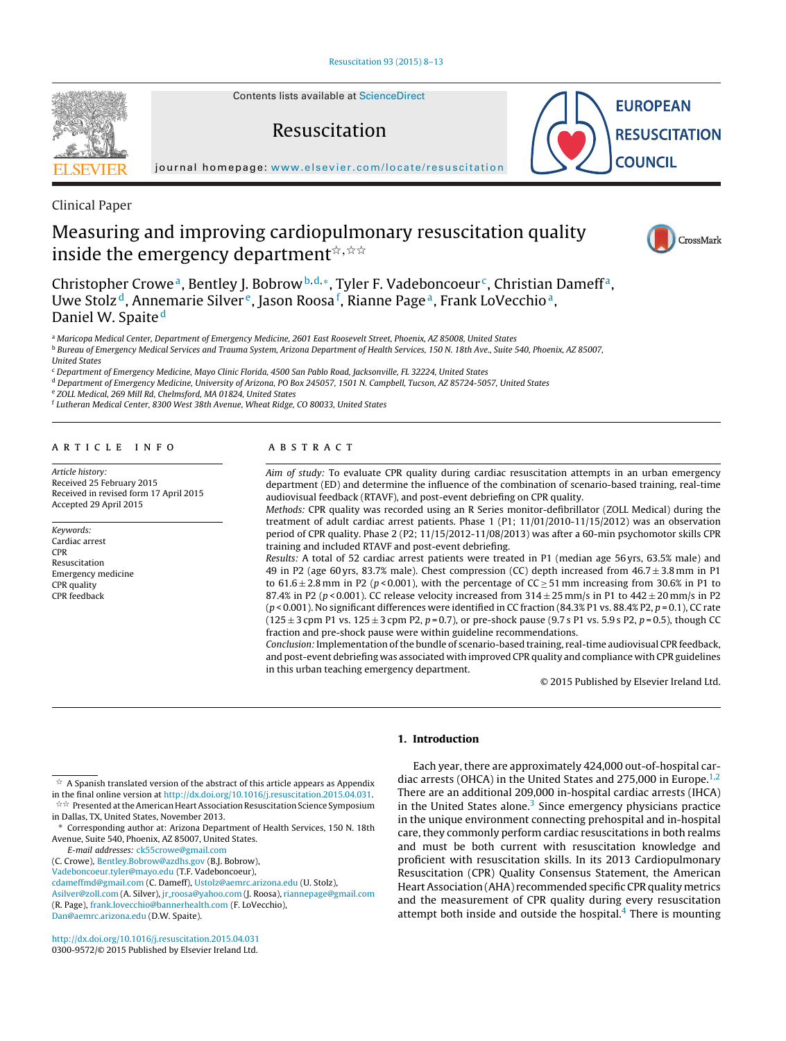Contents lists available at [ScienceDirect](http://www.sciencedirect.com/science/journal/03009572)

# Resuscitation



journal homepage: [www.elsevier.com/locate/resuscitation](http://www.elsevier.com/locate/resuscitation)

Clinical Paper

# Measuring and improving cardiopulmonary resuscitation quality inside the emergency department $^{\scriptscriptstyle \star, \star\star\star}$



Christopher Crowe<sup>a</sup>, Bentley J. Bobrow<sup>b,d,\*</sup>, Tyler F. Vadeboncoeur<sup>c</sup>, Christian Dameff<sup>a</sup>, Uwe Stolz<sup>d</sup>, Annemarie Silver<sup>e</sup>, Jason Roosa<sup>f</sup>, Rianne Page<u>a, Frank LoVecchioa,</u> Daniel W. Spaite<sup>d</sup>

<sup>a</sup> Maricopa Medical Center, Department of Emergency Medicine, 2601 East Roosevelt Street, Phoenix, AZ 85008, United States

b Bureau of Emergency Medical Services and Trauma System, Arizona Department of Health Services, 150 N. 18th Ave., Suite 540, Phoenix, AZ 85007,

United States

<sup>c</sup> Department of Emergency Medicine, Mayo Clinic Florida, 4500 San Pablo Road, Jacksonville, FL 32224, United States

<sup>d</sup> Department of Emergency Medicine, University of Arizona, PO Box 245057, 1501 N. Campbell, Tucson, AZ 85724-5057, United States

<sup>e</sup> ZOLL Medical, 269 Mill Rd, Chelmsford, MA 01824, United States

<sup>f</sup> Lutheran Medical Center, 8300 West 38th Avenue, Wheat Ridge, CO 80033, United States

## ARTICLE INFO

Article history: Received 25 February 2015 Received in revised form 17 April 2015 Accepted 29 April 2015

Keywords: Cardiac arrest CPR Resuscitation Emergency medicine CPR quality CPR feedback

# A B S T R A C T

Aim of study: To evaluate CPR quality during cardiac resuscitation attempts in an urban emergency department (ED) and determine the influence of the combination of scenario-based training, real-time audiovisual feedback (RTAVF), and post-event debriefing on CPR quality.

Methods: CPR quality was recorded using an R Series monitor-defibrillator (ZOLL Medical) during the treatment of adult cardiac arrest patients. Phase 1 (P1; 11/01/2010-11/15/2012) was an observation period of CPR quality. Phase 2 (P2; 11/15/2012-11/08/2013) was after a 60-min psychomotor skills CPR training and included RTAVF and post-event debriefing.

Results: A total of 52 cardiac arrest patients were treated in P1 (median age 56 yrs, 63.5% male) and 49 in P2 (age 60 yrs, 83.7% male). Chest compression (CC) depth increased from  $46.7 \pm 3.8$  mm in P1 to  $61.6 \pm 2.8$  mm in P2 (p < 0.001), with the percentage of CC  $\geq$  51 mm increasing from 30.6% in P1 to 87.4% in P2 ( $p$  < 0.001). CC release velocity increased from  $314 \pm 25$  mm/s in P1 to  $442 \pm 20$  mm/s in P2  $(p < 0.001)$ . No significant differences were identified in CC fraction  $(84.3\% P1$  vs.  $88.4\% P2, p = 0.1)$ , CC rate  $(125 \pm 3$  cpm P1 vs.  $125 \pm 3$  cpm P2,  $p = 0.7$ ), or pre-shock pause (9.7 s P1 vs. 5.9 s P2,  $p = 0.5$ ), though CC fraction and pre-shock pause were within guideline recommendations.

Conclusion: Implementation ofthe bundle of scenario-based training, real-time audiovisual CPR feedback, and post-event debriefing was associated with improved CPR quality and compliance with CPR guidelines in this urban teaching emergency department.

© 2015 Published by Elsevier Ireland Ltd.

# **1. Introduction**

Each year, there are approximately 424,000 out-of-hospital car-diac arrests (OHCA) in the United States and 275,000 in Europe.<sup>[1,2](#page-4-0)</sup> There are an additional 209,000 in-hospital cardiac arrests (IHCA) in the United States alone. $3$  Since emergency physicians practice in the unique environment connecting prehospital and in-hospital care, they commonly perform cardiac resuscitations in both realms and must be both current with resuscitation knowledge and proficient with resuscitation skills. In its 2013 Cardiopulmonary Resuscitation (CPR) Quality Consensus Statement, the American Heart Association (AHA) recommended specific CPR quality metrics and the measurement of CPR quality during every resuscitation attempt both inside and outside the hospital. $4$  There is mounting

E-mail addresses: [ck55crowe@gmail.com](mailto:ck55crowe@gmail.com)

[Dan@aemrc.arizona.edu](mailto:Dan@aemrc.arizona.edu) (D.W. Spaite).

 $\stackrel{\scriptscriptstyle{\times}}{\scriptscriptstyle{\times}}$  A Spanish translated version of the abstract of this article appears as Appendix in the final online version at [http://dx.doi.org/10.1016/j.resuscitation.2015.04.031.](http://dx.doi.org/10.1016/j.resuscitation.2015.04.031)  $\stackrel{\scriptstyle\leftrightarrow}{\scriptstyle\times}\stackrel{\scriptstyle\times}{\scriptstyle\times}$  Presented at the American Heart Association Resuscitation Science Symposium

in Dallas, TX, United States, November 2013. ∗ Corresponding author at: Arizona Department of Health Services, 150 N. 18th

Avenue, Suite 540, Phoenix, AZ 85007, United States.

<sup>(</sup>C. Crowe), [Bentley.Bobrow@azdhs.gov](mailto:Bentley.Bobrow@azdhs.gov) (B.J. Bobrow),

[Vadeboncoeur.tyler@mayo.edu](mailto:Vadeboncoeur.tyler@mayo.edu) (T.F. Vadeboncoeur),

[cdameffmd@gmail.com](mailto:cdameffmd@gmail.com) (C. Dameff), [Ustolz@aemrc.arizona.edu](mailto:Ustolz@aemrc.arizona.edu) (U. Stolz), [Asilver@zoll.com](mailto:Asilver@zoll.com) (A. Silver), jr\_[roosa@yahoo.com](mailto:jr_roosa@yahoo.com) (J. Roosa), [riannepage@gmail.com](mailto:riannepage@gmail.com) (R. Page), [frank.lovecchio@bannerhealth.com](mailto:frank.lovecchio@bannerhealth.com) (F. LoVecchio),

[http://dx.doi.org/10.1016/j.resuscitation.2015.04.031](dx.doi.org/10.1016/j.resuscitation.2015.04.031) 0300-9572/© 2015 Published by Elsevier Ireland Ltd.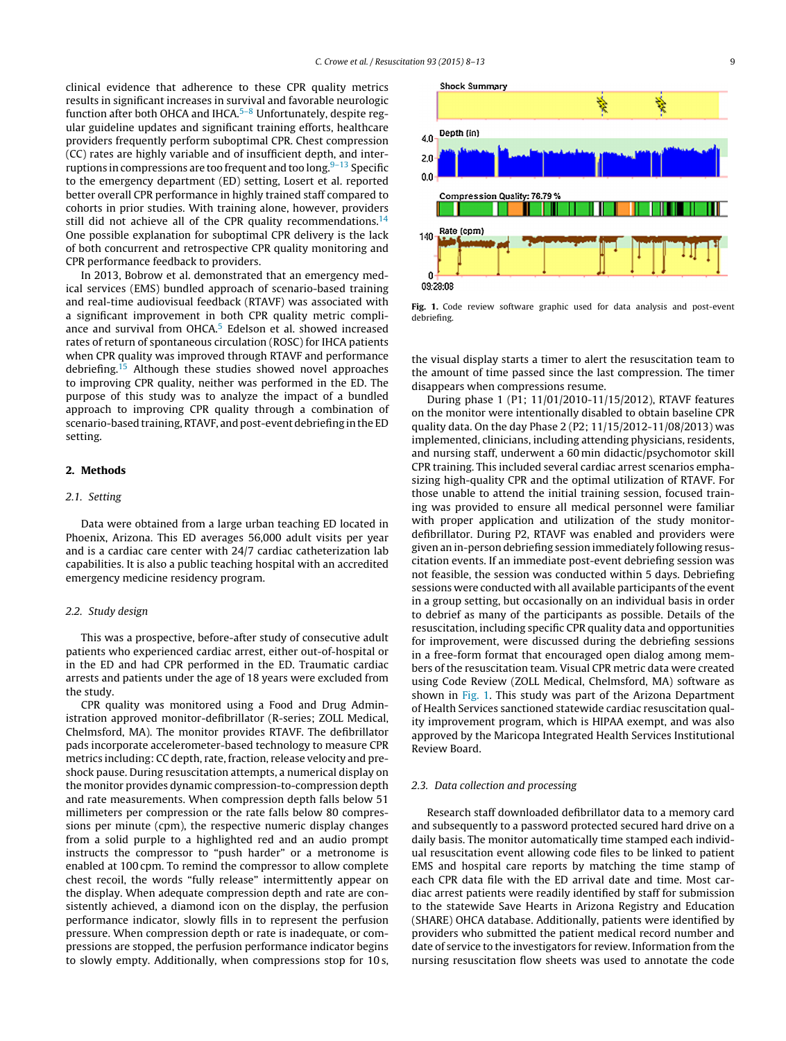clinical evidence that adherence to these CPR quality metrics results in significant increases in survival and favorable neurologic function after both OHCA and IHCA. $5-8$  Unfortunately, despite regular guideline updates and significant training efforts, healthcare providers frequently perform suboptimal CPR. Chest compression (CC) rates are highly variable and of insufficient depth, and interruptions in compressions are too frequent and too long.  $9-13$  Specific to the emergency department (ED) setting, Losert et al. reported better overall CPR performance in highly trained staff compared to cohorts in prior studies. With training alone, however, providers still did not achieve all of the CPR quality recommendations.<sup>[14](#page-5-0)</sup> One possible explanation for suboptimal CPR delivery is the lack of both concurrent and retrospective CPR quality monitoring and CPR performance feedback to providers.

In 2013, Bobrow et al. demonstrated that an emergency medical services (EMS) bundled approach of scenario-based training and real-time audiovisual feedback (RTAVF) was associated with a significant improvement in both CPR quality metric compliance and survival from OHCA.<sup>5</sup> Edelson et al. showed increased rates of return of spontaneous circulation (ROSC) for IHCA patients when CPR quality was improved through RTAVF and performance debriefing.[15](#page-5-0) Although these studies showed novel approaches to improving CPR quality, neither was performed in the ED. The purpose of this study was to analyze the impact of a bundled approach to improving CPR quality through a combination of scenario-based training, RTAVF, and post-event debriefing in the ED setting.

# **2. Methods**

# 2.1. Setting

Data were obtained from a large urban teaching ED located in Phoenix, Arizona. This ED averages 56,000 adult visits per year and is a cardiac care center with 24/7 cardiac catheterization lab capabilities. It is also a public teaching hospital with an accredited emergency medicine residency program.

### 2.2. Study design

This was a prospective, before-after study of consecutive adult patients who experienced cardiac arrest, either out-of-hospital or in the ED and had CPR performed in the ED. Traumatic cardiac arrests and patients under the age of 18 years were excluded from the study.

CPR quality was monitored using a Food and Drug Administration approved monitor-defibrillator (R-series; ZOLL Medical, Chelmsford, MA). The monitor provides RTAVF. The defibrillator pads incorporate accelerometer-based technology to measure CPR metrics including: CC depth, rate, fraction, release velocity and preshock pause. During resuscitation attempts, a numerical display on the monitor provides dynamic compression-to-compression depth and rate measurements. When compression depth falls below 51 millimeters per compression or the rate falls below 80 compressions per minute (cpm), the respective numeric display changes from a solid purple to a highlighted red and an audio prompt instructs the compressor to "push harder" or a metronome is enabled at 100 cpm. To remind the compressor to allow complete chest recoil, the words "fully release" intermittently appear on the display. When adequate compression depth and rate are consistently achieved, a diamond icon on the display, the perfusion performance indicator, slowly fills in to represent the perfusion pressure. When compression depth or rate is inadequate, or compressions are stopped, the perfusion performance indicator begins to slowly empty. Additionally, when compressions stop for 10 s,



**Fig. 1.** Code review software graphic used for data analysis and post-event debriefing.

the visual display starts a timer to alert the resuscitation team to the amount of time passed since the last compression. The timer disappears when compressions resume.

During phase 1 (P1; 11/01/2010-11/15/2012), RTAVF features on the monitor were intentionally disabled to obtain baseline CPR quality data. On the day Phase 2 (P2; 11/15/2012-11/08/2013) was implemented, clinicians, including attending physicians, residents, and nursing staff, underwent a 60 min didactic/psychomotor skill CPR training. This included several cardiac arrest scenarios emphasizing high-quality CPR and the optimal utilization of RTAVF. For those unable to attend the initial training session, focused training was provided to ensure all medical personnel were familiar with proper application and utilization of the study monitordefibrillator. During P2, RTAVF was enabled and providers were given an in-person debriefing session immediately following resuscitation events. If an immediate post-event debriefing session was not feasible, the session was conducted within 5 days. Debriefing sessions were conducted with all available participants of the event in a group setting, but occasionally on an individual basis in order to debrief as many of the participants as possible. Details of the resuscitation, including specific CPR quality data and opportunities for improvement, were discussed during the debriefing sessions in a free-form format that encouraged open dialog among members of the resuscitation team. Visual CPR metric data were created using Code Review (ZOLL Medical, Chelmsford, MA) software as shown in Fig. 1. This study was part of the Arizona Department of Health Services sanctioned statewide cardiac resuscitation quality improvement program, which is HIPAA exempt, and was also approved by the Maricopa Integrated Health Services Institutional Review Board.

## 2.3. Data collection and processing

Research staff downloaded defibrillator data to a memory card and subsequently to a password protected secured hard drive on a daily basis. The monitor automatically time stamped each individual resuscitation event allowing code files to be linked to patient EMS and hospital care reports by matching the time stamp of each CPR data file with the ED arrival date and time. Most cardiac arrest patients were readily identified by staff for submission to the statewide Save Hearts in Arizona Registry and Education (SHARE) OHCA database. Additionally, patients were identified by providers who submitted the patient medical record number and date of service to the investigators for review. Information from the nursing resuscitation flow sheets was used to annotate the code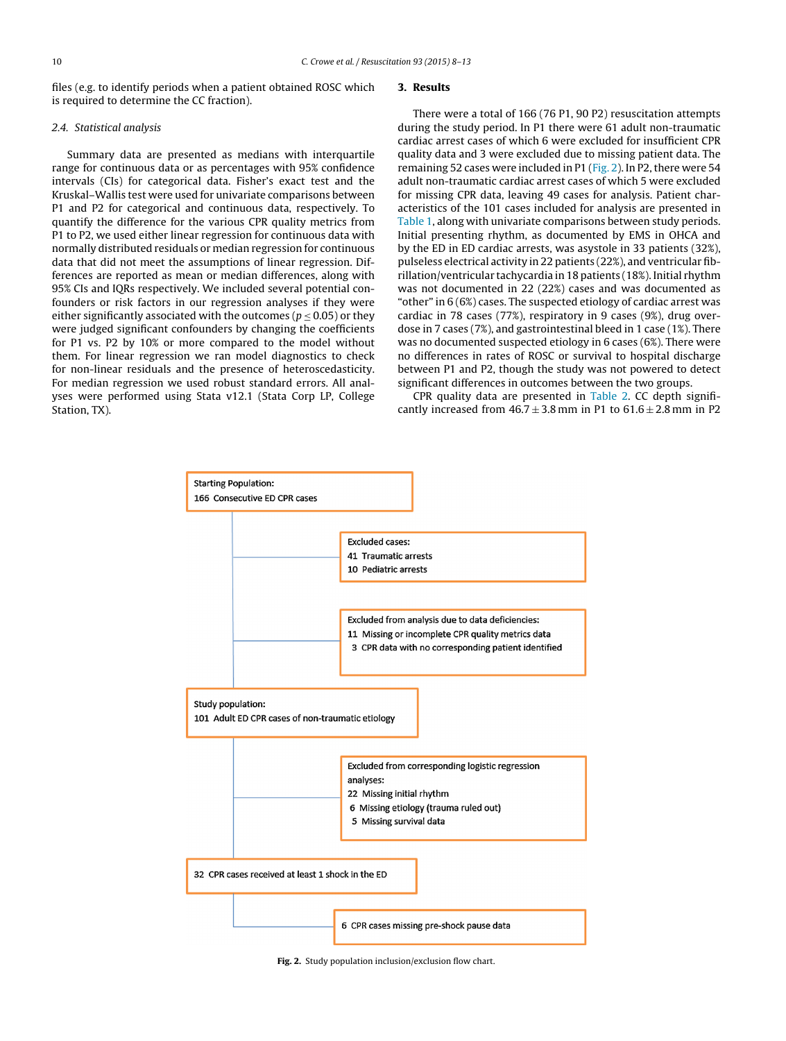files (e.g. to identify periods when a patient obtained ROSC which is required to determine the CC fraction).

# 2.4. Statistical analysis

Summary data are presented as medians with interquartile range for continuous data or as percentages with 95% confidence intervals (CIs) for categorical data. Fisher's exact test and the Kruskal–Wallis test were used for univariate comparisons between P1 and P2 for categorical and continuous data, respectively. To quantify the difference for the various CPR quality metrics from P1 to P2, we used either linear regression for continuous data with normally distributed residuals or median regression for continuous data that did not meet the assumptions of linear regression. Differences are reported as mean or median differences, along with 95% CIs and IQRs respectively. We included several potential confounders or risk factors in our regression analyses if they were either significantly associated with the outcomes ( $p \le 0.05$ ) or they were judged significant confounders by changing the coefficients for P1 vs. P2 by 10% or more compared to the model without them. For linear regression we ran model diagnostics to check for non-linear residuals and the presence of heteroscedasticity. For median regression we used robust standard errors. All analyses were performed using Stata v12.1 (Stata Corp LP, College Station, TX).

### **3. Results**

There were a total of 166 (76 P1, 90 P2) resuscitation attempts during the study period. In P1 there were 61 adult non-traumatic cardiac arrest cases of which 6 were excluded for insufficient CPR quality data and 3 were excluded due to missing patient data. The remaining 52 cases were included in P1 ( $Fig. 2$ ). In P2, there were 54 adult non-traumatic cardiac arrest cases of which 5 were excluded for missing CPR data, leaving 49 cases for analysis. Patient characteristics of the 101 cases included for analysis are presented in [Table](#page-3-0) 1, along with univariate comparisons between study periods. Initial presenting rhythm, as documented by EMS in OHCA and by the ED in ED cardiac arrests, was asystole in 33 patients (32%), pulseless electrical activity in 22 patients (22%), and ventricular fibrillation/ventricular tachycardia in 18 patients (18%). Initial rhythm was not documented in 22 (22%) cases and was documented as "other" in 6 (6%) cases. The suspected etiology of cardiac arrest was cardiac in 78 cases (77%), respiratory in 9 cases (9%), drug overdose in 7 cases (7%), and gastrointestinal bleed in 1 case (1%). There was no documented suspected etiology in 6 cases (6%). There were no differences in rates of ROSC or survival to hospital discharge between P1 and P2, though the study was not powered to detect significant differences in outcomes between the two groups.

CPR quality data are presented in [Table](#page-3-0) 2. CC depth significantly increased from  $46.7 \pm 3.8$  mm in P1 to  $61.6 \pm 2.8$  mm in P2



**Fig. 2.** Study population inclusion/exclusion flow chart.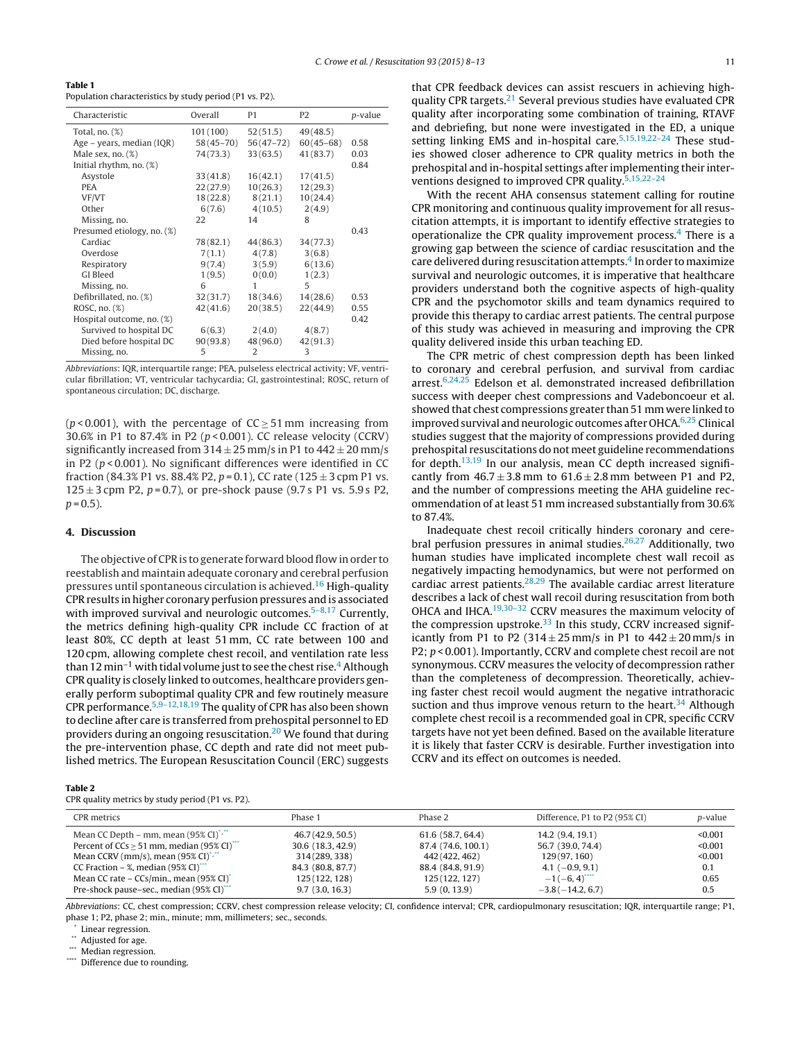| Table T                                                 |  |  |
|---------------------------------------------------------|--|--|
| Population characteristics by study period (P1 vs. P2). |  |  |

<span id="page-3-0"></span>**Table 1**

| Characteristic             | Overall      | P <sub>1</sub> | P <sub>2</sub> | p-value |
|----------------------------|--------------|----------------|----------------|---------|
| Total, no. $(\%)$          | 101(100)     | 52(51.5)       | 49(48.5)       |         |
| Age – years, median (IQR)  | 58 (45 – 70) | 56(47–72)      | $60(45-68)$    | 0.58    |
| Male sex, no. $(\%)$       | 74(73.3)     | 33(63.5)       | 41(83.7)       | 0.03    |
| Initial rhythm, no. (%)    |              |                |                | 0.84    |
| Asystole                   | 33(41.8)     | 16(42.1)       | 17(41.5)       |         |
| <b>PEA</b>                 | 22(27.9)     | 10(26.3)       | 12(29.3)       |         |
| VF/VT                      | 18(22.8)     | 8(21.1)        | 10(24.4)       |         |
| Other                      | 6(7.6)       | 4(10.5)        | 2(4.9)         |         |
| Missing, no.               | 22           | 14             | 8              |         |
| Presumed etiology, no. (%) |              |                |                | 0.43    |
| Cardiac                    | 78(82.1)     | 44(86.3)       | 34(77.3)       |         |
| Overdose                   | 7(1.1)       | 4(7.8)         | 3(6.8)         |         |
| Respiratory                | 9(7.4)       | 3(5.9)         | 6(13.6)        |         |
| GI Bleed                   | 1(9.5)       | 0(0.0)         | 1(2.3)         |         |
| Missing, no.               | 6            | 1              | 5              |         |
| Defibrillated, no. (%)     | 32(31.7)     | 18(34.6)       | 14(28.6)       | 0.53    |
| ROSC, no. (%)              | 42(41.6)     | 20(38.5)       | 22(44.9)       | 0.55    |
| Hospital outcome, no. (%)  |              |                |                | 0.42    |
| Survived to hospital DC    | 6(6.3)       | 2(4.0)         | 4(8.7)         |         |
| Died before hospital DC    | 90(93.8)     | 48 (96.0)      | 42(91.3)       |         |
| Missing, no.               | 5            | $\overline{2}$ | 3              |         |

Abbreviations: IQR, interquartile range; PEA, pulseless electrical activity; VF, ventricular fibrillation; VT, ventricular tachycardia; GI, gastrointestinal; ROSC, return of spontaneous circulation; DC, discharge.

( $p$  < 0.001), with the percentage of CC  $\geq$  51 mm increasing from 30.6% in P1 to 87.4% in P2 (p < 0.001). CC release velocity (CCRV) significantly increased from  $314 \pm 25$  mm/s in P1 to  $442 \pm 20$  mm/s in P2 ( $p$  < 0.001). No significant differences were identified in CC fraction (84.3% P1 vs. 88.4% P2,  $p = 0.1$ ), CC rate (125  $\pm$  3 cpm P1 vs.  $125 \pm 3$  cpm P2,  $p = 0.7$ ), or pre-shock pause (9.7 s P1 vs. 5.9 s P2,  $p = 0.5$ ).

# **4. Discussion**

The objective of CPR is to generate forward blood flow in order to reestablish and maintain adequate coronary and cerebral perfusion pressures until spontaneous circulation is achieved.[16](#page-5-0) High-quality CPR results in higher coronary perfusion pressures and is associated with improved survival and neurologic outcomes.<sup>5-8,17</sup> Currently, the metrics defining high-quality CPR include CC fraction of at least 80%, CC depth at least 51 mm, CC rate between 100 and 120 cpm, allowing complete chest recoil, and ventilation rate less than 12 min<sup>-1</sup> with tidal volume just to see the chest rise.<sup>4</sup> [A](#page-4-0)lthough CPR quality is closely linked to outcomes, healthcare providers generally perform suboptimal quality CPR and few routinely measure CPR performance.<sup>5,9-12,18,19</sup> The quality of CPR has also been shown to decline after care is transferred from prehospital personnel to ED providers during an ongoing resuscitation.<sup>20</sup> We found that during the pre-intervention phase, CC depth and rate did not meet published metrics. The European Resuscitation Council (ERC) suggests

|--|

CPR quality metrics by study period (P1 vs. P2).

that CPR feedback devices can assist rescuers in achieving highquality CPR targets[.21](#page-5-0) Several previous studies have evaluated CPR quality after incorporating some combination of training, RTAVF and debriefing, but none were investigated in the ED, a unique setting linking EMS and in-hospital care.<sup>5,15,19,22-24</sup> These studies showed closer adherence to CPR quality metrics in both the prehospital and in-hospital settings after implementing their interventions designed to improved CPR quality.<sup>5,15,22-24</sup>

With the recent AHA consensus statement calling for routine CPR monitoring and continuous quality improvement for all resuscitation attempts, it is important to identify effective strategies to operationalize the CPR quality improvement process. $4$  There is a growing gap between the science of cardiac resuscitation and the care delivered during resuscitation attempts[.4](#page-4-0) In order to maximize survival and neurologic outcomes, it is imperative that healthcare providers understand both the cognitive aspects of high-quality CPR and the psychomotor skills and team dynamics required to provide this therapy to cardiac arrest patients. The central purpose of this study was achieved in measuring and improving the CPR quality delivered inside this urban teaching ED.

The CPR metric of chest compression depth has been linked to coronary and cerebral perfusion, and survival from cardiac arrest.<sup>6,24,25</sup> Edelson et al. demonstrated increased defibrillation success with deeper chest compressions and Vadeboncoeur et al. showed that chest compressions greater than 51 mm were linked to improved survival and neurologic outcomes after OHCA.<sup>[6,25](#page-4-0)</sup> Clinical studies suggest that the majority of compressions provided during prehospital resuscitations do not meet guideline recommendations for depth.[13,19](#page-5-0) In our analysis, mean CC depth increased significantly from  $46.7 \pm 3.8$  mm to  $61.6 \pm 2.8$  mm between P1 and P2. and the number of compressions meeting the AHA guideline recommendation of at least 51 mm increased substantially from 30.6% to 87.4%.

Inadequate chest recoil critically hinders coronary and cerebral perfusion pressures in animal studies. $26,27$  Additionally, two human studies have implicated incomplete chest wall recoil as negatively impacting hemodynamics, but were not performed on cardiac arrest patients. $28,29$  The available cardiac arrest literature describes a lack of chest wall recoil during resuscitation from both OHCA and IHCA[.19,30–32](#page-5-0) CCRV measures the maximum velocity of the compression upstroke. $33$  In this study, CCRV increased significantly from P1 to P2  $(314 \pm 25 \text{ mm/s}$  in P1 to  $442 \pm 20 \text{ mm/s}$  in P2;  $p$  < 0.001). Importantly, CCRV and complete chest recoil are not synonymous. CCRV measures the velocity of decompression rather than the completeness of decompression. Theoretically, achieving faster chest recoil would augment the negative intrathoracic suction and thus improve venous return to the heart.<sup>34</sup> Although complete chest recoil is a recommended goal in CPR, specific CCRV targets have not yet been defined. Based on the available literature it is likely that faster CCRV is desirable. Further investigation into CCRV and its effect on outcomes is needed.

| CPR metrics                                           | Phase 1           | Phase 2            | Difference, P1 to P2 (95% CI) | <i>p</i> -value |
|-------------------------------------------------------|-------------------|--------------------|-------------------------------|-----------------|
| Mean CC Depth – mm, mean $(95\% \text{ CI})^{\ast}$ . | 46.7(42.9, 50.5)  | 61.6 (58.7, 64.4)  | 14.2 (9.4, 19.1)              | < 0.001         |
| Percent of $CCs > 51$ mm, median (95% CI)             | 30.6 (18.3, 42.9) | 87.4 (74.6, 100.1) | 56.7 (39.0, 74.4)             | < 0.001         |
| Mean CCRV (mm/s), mean $(95\% \text{ CI})^*$ .        | 314(289, 338)     | 442 (422, 462)     | 129(97, 160)                  | < 0.001         |
| CC Fraction $-$ %, median (95% CI) $\cdots$           | 84.3 (80.8, 87.7) | 88.4 (84.8, 91.9)  | $4.1$ (-0.9, 9.1)             | 0.1             |
| Mean CC rate – $CCs/min$ , mean $(95\% CI)^{*}$       | 125 (122, 128)    | 125 (122, 127)     | $-1(-6, 4)^{***}$             | 0.65            |
| Pre-shock pause–sec., median (95% CI)**               | 9.7(3.0, 16.3)    | 5.9(0, 13.9)       | $-3.8(-14.2, 6.7)$            | 0.5             |

Abbreviations: CC, chest compression; CCRV, chest compression release velocity; CI, confidence interval; CPR, cardiopulmonary resuscitation; IQR, interquartile range; P1, phase 1; P2, phase 2; min., minute; mm, millimeters; sec., seconds.

Linear regression.

\*\* Adjusted for age.

Median regression.

Difference due to rounding.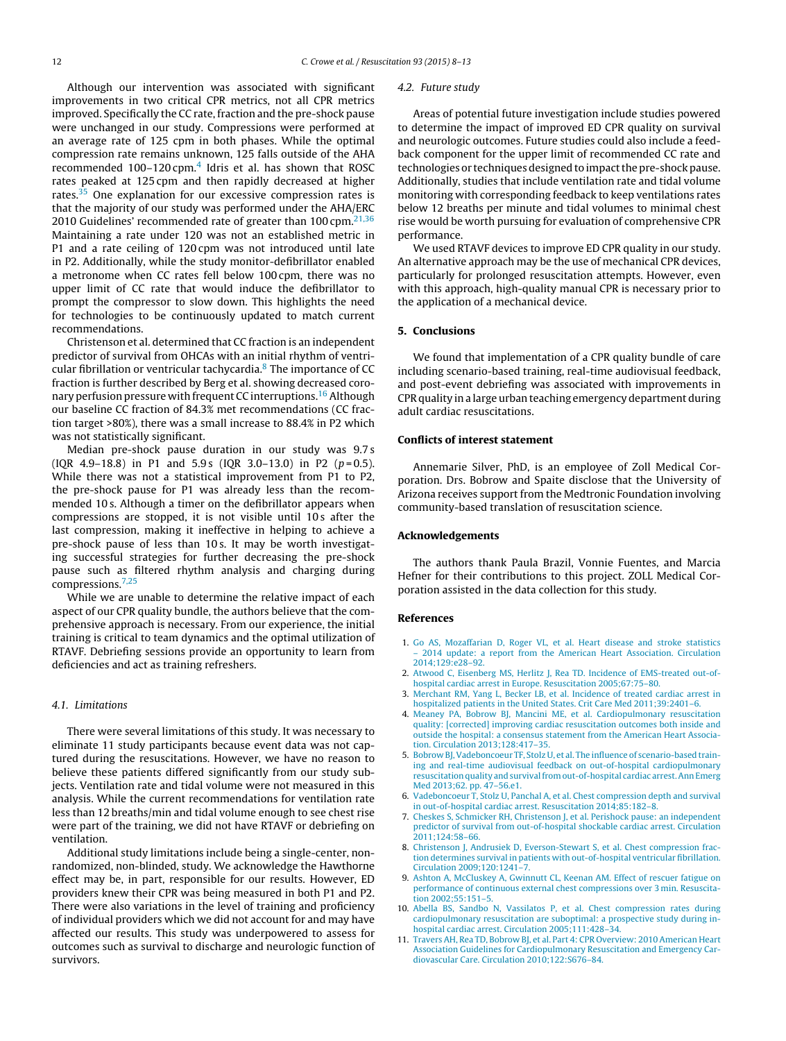<span id="page-4-0"></span>Although our intervention was associated with significant improvements in two critical CPR metrics, not all CPR metrics improved. Specifically the CC rate, fraction and the pre-shock pause were unchanged in our study. Compressions were performed at an average rate of 125 cpm in both phases. While the optimal compression rate remains unknown, 125 falls outside of the AHA recommended 100-120 cpm.<sup>4</sup> Idris et al. has shown that ROSC rates peaked at 125 cpm and then rapidly decreased at higher rates. $35$  One explanation for our excessive compression rates is that the majority of our study was performed under the AHA/ERC 2010 Guidelines' recommended rate of greater than  $100$  cpm. $21,36$ Maintaining a rate under 120 was not an established metric in P1 and a rate ceiling of 120 cpm was not introduced until late in P2. Additionally, while the study monitor-defibrillator enabled a metronome when CC rates fell below 100 cpm, there was no upper limit of CC rate that would induce the defibrillator to prompt the compressor to slow down. This highlights the need for technologies to be continuously updated to match current recommendations.

Christenson et al. determined that CC fraction is an independent predictor of survival from OHCAs with an initial rhythm of ventricular fibrillation or ventricular tachycardia.8 The importance of CC fraction is further described by Berg et al. showing decreased coronary perfusion pressure with frequent CC interruptions.<sup>16</sup> Although our baseline CC fraction of 84.3% met recommendations (CC fraction target >80%), there was a small increase to 88.4% in P2 which was not statistically significant.

Median pre-shock pause duration in our study was 9.7 s  $(10R 4.9-18.8)$  in P1 and 5.9 s  $(10R 3.0-13.0)$  in P2  $(p=0.5)$ . While there was not a statistical improvement from P1 to P2, the pre-shock pause for P1 was already less than the recommended 10 s. Although a timer on the defibrillator appears when compressions are stopped, it is not visible until 10 s after the last compression, making it ineffective in helping to achieve a pre-shock pause of less than 10 s. It may be worth investigating successful strategies for further decreasing the pre-shock pause such as filtered rhythm analysis and charging during compressions.7,25

While we are unable to determine the relative impact of each aspect of our CPR quality bundle, the authors believe that the comprehensive approach is necessary. From our experience, the initial training is critical to team dynamics and the optimal utilization of RTAVF. Debriefing sessions provide an opportunity to learn from deficiencies and act as training refreshers.

# 4.1. Limitations

There were several limitations of this study. It was necessary to eliminate 11 study participants because event data was not captured during the resuscitations. However, we have no reason to believe these patients differed significantly from our study subjects. Ventilation rate and tidal volume were not measured in this analysis. While the current recommendations for ventilation rate less than 12 breaths/min and tidal volume enough to see chest rise were part of the training, we did not have RTAVF or debriefing on ventilation.

Additional study limitations include being a single-center, nonrandomized, non-blinded, study. We acknowledge the Hawthorne effect may be, in part, responsible for our results. However, ED providers knew their CPR was being measured in both P1 and P2. There were also variations in the level of training and proficiency of individual providers which we did not account for and may have affected our results. This study was underpowered to assess for outcomes such as survival to discharge and neurologic function of survivors.

### 4.2. Future study

Areas of potential future investigation include studies powered to determine the impact of improved ED CPR quality on survival and neurologic outcomes. Future studies could also include a feedback component for the upper limit of recommended CC rate and technologies or techniques designed to impact the pre-shock pause. Additionally, studies that include ventilation rate and tidal volume monitoring with corresponding feedback to keep ventilations rates below 12 breaths per minute and tidal volumes to minimal chest rise would be worth pursuing for evaluation of comprehensive CPR performance.

We used RTAVF devices to improve ED CPR quality in our study. An alternative approach may be the use of mechanical CPR devices, particularly for prolonged resuscitation attempts. However, even with this approach, high-quality manual CPR is necessary prior to the application of a mechanical device.

### **5. Conclusions**

We found that implementation of a CPR quality bundle of care including scenario-based training, real-time audiovisual feedback, and post-event debriefing was associated with improvements in CPRquality ina large urbanteaching emergency department during adult cardiac resuscitations.

# **Conflicts of interest statement**

Annemarie Silver, PhD, is an employee of Zoll Medical Corporation. Drs. Bobrow and Spaite disclose that the University of Arizona receives support from the Medtronic Foundation involving community-based translation of resuscitation science.

### **Acknowledgements**

The authors thank Paula Brazil, Vonnie Fuentes, and Marcia Hefner for their contributions to this project. ZOLL Medical Corporation assisted in the data collection for this study.

### **References**

- 1. [Go](http://refhub.elsevier.com/S0300-9572(15)00197-5/sbref0185) [AS,](http://refhub.elsevier.com/S0300-9572(15)00197-5/sbref0185) [Mozaffarian](http://refhub.elsevier.com/S0300-9572(15)00197-5/sbref0185) [D,](http://refhub.elsevier.com/S0300-9572(15)00197-5/sbref0185) [Roger](http://refhub.elsevier.com/S0300-9572(15)00197-5/sbref0185) [VL,](http://refhub.elsevier.com/S0300-9572(15)00197-5/sbref0185) [et](http://refhub.elsevier.com/S0300-9572(15)00197-5/sbref0185) [al.](http://refhub.elsevier.com/S0300-9572(15)00197-5/sbref0185) [Heart](http://refhub.elsevier.com/S0300-9572(15)00197-5/sbref0185) [disease](http://refhub.elsevier.com/S0300-9572(15)00197-5/sbref0185) [and](http://refhub.elsevier.com/S0300-9572(15)00197-5/sbref0185) [stroke](http://refhub.elsevier.com/S0300-9572(15)00197-5/sbref0185) [statistics](http://refhub.elsevier.com/S0300-9572(15)00197-5/sbref0185) – [2014](http://refhub.elsevier.com/S0300-9572(15)00197-5/sbref0185) [update:](http://refhub.elsevier.com/S0300-9572(15)00197-5/sbref0185) [a](http://refhub.elsevier.com/S0300-9572(15)00197-5/sbref0185) [report](http://refhub.elsevier.com/S0300-9572(15)00197-5/sbref0185) [from](http://refhub.elsevier.com/S0300-9572(15)00197-5/sbref0185) [the](http://refhub.elsevier.com/S0300-9572(15)00197-5/sbref0185) [American](http://refhub.elsevier.com/S0300-9572(15)00197-5/sbref0185) [Heart](http://refhub.elsevier.com/S0300-9572(15)00197-5/sbref0185) [Association.](http://refhub.elsevier.com/S0300-9572(15)00197-5/sbref0185) [Circulation](http://refhub.elsevier.com/S0300-9572(15)00197-5/sbref0185) [2014;129:e28](http://refhub.elsevier.com/S0300-9572(15)00197-5/sbref0185)–[92.](http://refhub.elsevier.com/S0300-9572(15)00197-5/sbref0185)
- 2. [Atwood](http://refhub.elsevier.com/S0300-9572(15)00197-5/sbref0190) [C,](http://refhub.elsevier.com/S0300-9572(15)00197-5/sbref0190) [Eisenberg](http://refhub.elsevier.com/S0300-9572(15)00197-5/sbref0190) [MS,](http://refhub.elsevier.com/S0300-9572(15)00197-5/sbref0190) [Herlitz](http://refhub.elsevier.com/S0300-9572(15)00197-5/sbref0190) [J,](http://refhub.elsevier.com/S0300-9572(15)00197-5/sbref0190) [Rea](http://refhub.elsevier.com/S0300-9572(15)00197-5/sbref0190) [TD.](http://refhub.elsevier.com/S0300-9572(15)00197-5/sbref0190) [Incidence](http://refhub.elsevier.com/S0300-9572(15)00197-5/sbref0190) [of](http://refhub.elsevier.com/S0300-9572(15)00197-5/sbref0190) [EMS-treated](http://refhub.elsevier.com/S0300-9572(15)00197-5/sbref0190) [out-of](http://refhub.elsevier.com/S0300-9572(15)00197-5/sbref0190)[hospital](http://refhub.elsevier.com/S0300-9572(15)00197-5/sbref0190) [cardiac](http://refhub.elsevier.com/S0300-9572(15)00197-5/sbref0190) [arrest](http://refhub.elsevier.com/S0300-9572(15)00197-5/sbref0190) [in](http://refhub.elsevier.com/S0300-9572(15)00197-5/sbref0190) [Europe.](http://refhub.elsevier.com/S0300-9572(15)00197-5/sbref0190) [Resuscitation](http://refhub.elsevier.com/S0300-9572(15)00197-5/sbref0190) [2005;67:75](http://refhub.elsevier.com/S0300-9572(15)00197-5/sbref0190)–[80.](http://refhub.elsevier.com/S0300-9572(15)00197-5/sbref0190)
- 3. [Merchant](http://refhub.elsevier.com/S0300-9572(15)00197-5/sbref0195) [RM,](http://refhub.elsevier.com/S0300-9572(15)00197-5/sbref0195) [Yang](http://refhub.elsevier.com/S0300-9572(15)00197-5/sbref0195) [L,](http://refhub.elsevier.com/S0300-9572(15)00197-5/sbref0195) [Becker](http://refhub.elsevier.com/S0300-9572(15)00197-5/sbref0195) [LB,](http://refhub.elsevier.com/S0300-9572(15)00197-5/sbref0195) [et](http://refhub.elsevier.com/S0300-9572(15)00197-5/sbref0195) [al.](http://refhub.elsevier.com/S0300-9572(15)00197-5/sbref0195) [Incidence](http://refhub.elsevier.com/S0300-9572(15)00197-5/sbref0195) [of](http://refhub.elsevier.com/S0300-9572(15)00197-5/sbref0195) [treated](http://refhub.elsevier.com/S0300-9572(15)00197-5/sbref0195) [cardiac](http://refhub.elsevier.com/S0300-9572(15)00197-5/sbref0195) [arrest](http://refhub.elsevier.com/S0300-9572(15)00197-5/sbref0195) [in](http://refhub.elsevier.com/S0300-9572(15)00197-5/sbref0195) [hospitalized](http://refhub.elsevier.com/S0300-9572(15)00197-5/sbref0195) [patients](http://refhub.elsevier.com/S0300-9572(15)00197-5/sbref0195) [in](http://refhub.elsevier.com/S0300-9572(15)00197-5/sbref0195) [the](http://refhub.elsevier.com/S0300-9572(15)00197-5/sbref0195) [United](http://refhub.elsevier.com/S0300-9572(15)00197-5/sbref0195) [States.](http://refhub.elsevier.com/S0300-9572(15)00197-5/sbref0195) [Crit](http://refhub.elsevier.com/S0300-9572(15)00197-5/sbref0195) [Care](http://refhub.elsevier.com/S0300-9572(15)00197-5/sbref0195) [Med](http://refhub.elsevier.com/S0300-9572(15)00197-5/sbref0195) [2011;39:2401](http://refhub.elsevier.com/S0300-9572(15)00197-5/sbref0195)–[6.](http://refhub.elsevier.com/S0300-9572(15)00197-5/sbref0195)
- 4. [Meaney](http://refhub.elsevier.com/S0300-9572(15)00197-5/sbref0200) [PA,](http://refhub.elsevier.com/S0300-9572(15)00197-5/sbref0200) [Bobrow](http://refhub.elsevier.com/S0300-9572(15)00197-5/sbref0200) [BJ,](http://refhub.elsevier.com/S0300-9572(15)00197-5/sbref0200) [Mancini](http://refhub.elsevier.com/S0300-9572(15)00197-5/sbref0200) [ME,](http://refhub.elsevier.com/S0300-9572(15)00197-5/sbref0200) [et](http://refhub.elsevier.com/S0300-9572(15)00197-5/sbref0200) [al.](http://refhub.elsevier.com/S0300-9572(15)00197-5/sbref0200) [Cardiopulmonary](http://refhub.elsevier.com/S0300-9572(15)00197-5/sbref0200) [resuscitation](http://refhub.elsevier.com/S0300-9572(15)00197-5/sbref0200) [quality:](http://refhub.elsevier.com/S0300-9572(15)00197-5/sbref0200) [\[corrected\]](http://refhub.elsevier.com/S0300-9572(15)00197-5/sbref0200) [improving](http://refhub.elsevier.com/S0300-9572(15)00197-5/sbref0200) [cardiac](http://refhub.elsevier.com/S0300-9572(15)00197-5/sbref0200) [resuscitation](http://refhub.elsevier.com/S0300-9572(15)00197-5/sbref0200) [outcomes](http://refhub.elsevier.com/S0300-9572(15)00197-5/sbref0200) [both](http://refhub.elsevier.com/S0300-9572(15)00197-5/sbref0200) [inside](http://refhub.elsevier.com/S0300-9572(15)00197-5/sbref0200) [and](http://refhub.elsevier.com/S0300-9572(15)00197-5/sbref0200) [outside](http://refhub.elsevier.com/S0300-9572(15)00197-5/sbref0200) [the](http://refhub.elsevier.com/S0300-9572(15)00197-5/sbref0200) [hospital:](http://refhub.elsevier.com/S0300-9572(15)00197-5/sbref0200) [a](http://refhub.elsevier.com/S0300-9572(15)00197-5/sbref0200) [consensus](http://refhub.elsevier.com/S0300-9572(15)00197-5/sbref0200) [statement](http://refhub.elsevier.com/S0300-9572(15)00197-5/sbref0200) [from](http://refhub.elsevier.com/S0300-9572(15)00197-5/sbref0200) [the](http://refhub.elsevier.com/S0300-9572(15)00197-5/sbref0200) [American](http://refhub.elsevier.com/S0300-9572(15)00197-5/sbref0200) [Heart](http://refhub.elsevier.com/S0300-9572(15)00197-5/sbref0200) [Associa](http://refhub.elsevier.com/S0300-9572(15)00197-5/sbref0200)[tion.](http://refhub.elsevier.com/S0300-9572(15)00197-5/sbref0200) [Circulation](http://refhub.elsevier.com/S0300-9572(15)00197-5/sbref0200) [2013;128:417–35.](http://refhub.elsevier.com/S0300-9572(15)00197-5/sbref0200)
- 5. [Bobrow](http://refhub.elsevier.com/S0300-9572(15)00197-5/sbref0205) [BJ,Vadeboncoeur](http://refhub.elsevier.com/S0300-9572(15)00197-5/sbref0205) [TF,](http://refhub.elsevier.com/S0300-9572(15)00197-5/sbref0205) [Stolz](http://refhub.elsevier.com/S0300-9572(15)00197-5/sbref0205) [U,](http://refhub.elsevier.com/S0300-9572(15)00197-5/sbref0205) [et](http://refhub.elsevier.com/S0300-9572(15)00197-5/sbref0205) [al.](http://refhub.elsevier.com/S0300-9572(15)00197-5/sbref0205) [The](http://refhub.elsevier.com/S0300-9572(15)00197-5/sbref0205) [influence](http://refhub.elsevier.com/S0300-9572(15)00197-5/sbref0205) [of](http://refhub.elsevier.com/S0300-9572(15)00197-5/sbref0205) [scenario-based](http://refhub.elsevier.com/S0300-9572(15)00197-5/sbref0205) [train](http://refhub.elsevier.com/S0300-9572(15)00197-5/sbref0205)[ing](http://refhub.elsevier.com/S0300-9572(15)00197-5/sbref0205) [and](http://refhub.elsevier.com/S0300-9572(15)00197-5/sbref0205) [real-time](http://refhub.elsevier.com/S0300-9572(15)00197-5/sbref0205) [audiovisual](http://refhub.elsevier.com/S0300-9572(15)00197-5/sbref0205) [feedback](http://refhub.elsevier.com/S0300-9572(15)00197-5/sbref0205) [on](http://refhub.elsevier.com/S0300-9572(15)00197-5/sbref0205) [out-of-hospital](http://refhub.elsevier.com/S0300-9572(15)00197-5/sbref0205) [cardiopulmonary](http://refhub.elsevier.com/S0300-9572(15)00197-5/sbref0205) resuscitation quality and survival from out-of-hospital [cardiac](http://refhub.elsevier.com/S0300-9572(15)00197-5/sbref0205) arrest. Ann Emerg [Med](http://refhub.elsevier.com/S0300-9572(15)00197-5/sbref0205) [2013;62.](http://refhub.elsevier.com/S0300-9572(15)00197-5/sbref0205) [pp.](http://refhub.elsevier.com/S0300-9572(15)00197-5/sbref0205) [47–56.e1.](http://refhub.elsevier.com/S0300-9572(15)00197-5/sbref0205)
- 6. [Vadeboncoeur](http://refhub.elsevier.com/S0300-9572(15)00197-5/sbref0210) [T,](http://refhub.elsevier.com/S0300-9572(15)00197-5/sbref0210) [Stolz](http://refhub.elsevier.com/S0300-9572(15)00197-5/sbref0210) [U,](http://refhub.elsevier.com/S0300-9572(15)00197-5/sbref0210) [Panchal](http://refhub.elsevier.com/S0300-9572(15)00197-5/sbref0210) [A,](http://refhub.elsevier.com/S0300-9572(15)00197-5/sbref0210) [et](http://refhub.elsevier.com/S0300-9572(15)00197-5/sbref0210) [al.](http://refhub.elsevier.com/S0300-9572(15)00197-5/sbref0210) [Chest](http://refhub.elsevier.com/S0300-9572(15)00197-5/sbref0210) [compression](http://refhub.elsevier.com/S0300-9572(15)00197-5/sbref0210) [depth](http://refhub.elsevier.com/S0300-9572(15)00197-5/sbref0210) [and](http://refhub.elsevier.com/S0300-9572(15)00197-5/sbref0210) [survival](http://refhub.elsevier.com/S0300-9572(15)00197-5/sbref0210) [in](http://refhub.elsevier.com/S0300-9572(15)00197-5/sbref0210) [out-of-hospital](http://refhub.elsevier.com/S0300-9572(15)00197-5/sbref0210) [cardiac](http://refhub.elsevier.com/S0300-9572(15)00197-5/sbref0210) [arrest.](http://refhub.elsevier.com/S0300-9572(15)00197-5/sbref0210) [Resuscitation](http://refhub.elsevier.com/S0300-9572(15)00197-5/sbref0210) [2014;85:182–8.](http://refhub.elsevier.com/S0300-9572(15)00197-5/sbref0210)
- 7. [Cheskes](http://refhub.elsevier.com/S0300-9572(15)00197-5/sbref0215) [S,](http://refhub.elsevier.com/S0300-9572(15)00197-5/sbref0215) [Schmicker](http://refhub.elsevier.com/S0300-9572(15)00197-5/sbref0215) [RH,](http://refhub.elsevier.com/S0300-9572(15)00197-5/sbref0215) [Christenson](http://refhub.elsevier.com/S0300-9572(15)00197-5/sbref0215) [J,](http://refhub.elsevier.com/S0300-9572(15)00197-5/sbref0215) [et](http://refhub.elsevier.com/S0300-9572(15)00197-5/sbref0215) [al.](http://refhub.elsevier.com/S0300-9572(15)00197-5/sbref0215) [Perishock](http://refhub.elsevier.com/S0300-9572(15)00197-5/sbref0215) [pause:](http://refhub.elsevier.com/S0300-9572(15)00197-5/sbref0215) [an](http://refhub.elsevier.com/S0300-9572(15)00197-5/sbref0215) [independent](http://refhub.elsevier.com/S0300-9572(15)00197-5/sbref0215) [predictor](http://refhub.elsevier.com/S0300-9572(15)00197-5/sbref0215) [of](http://refhub.elsevier.com/S0300-9572(15)00197-5/sbref0215) [survival](http://refhub.elsevier.com/S0300-9572(15)00197-5/sbref0215) [from](http://refhub.elsevier.com/S0300-9572(15)00197-5/sbref0215) [out-of-hospital](http://refhub.elsevier.com/S0300-9572(15)00197-5/sbref0215) [shockable](http://refhub.elsevier.com/S0300-9572(15)00197-5/sbref0215) [cardiac](http://refhub.elsevier.com/S0300-9572(15)00197-5/sbref0215) [arrest.](http://refhub.elsevier.com/S0300-9572(15)00197-5/sbref0215) [Circulation](http://refhub.elsevier.com/S0300-9572(15)00197-5/sbref0215) [2011;124:58–66.](http://refhub.elsevier.com/S0300-9572(15)00197-5/sbref0215)
- 8. [Christenson](http://refhub.elsevier.com/S0300-9572(15)00197-5/sbref0220) [J,](http://refhub.elsevier.com/S0300-9572(15)00197-5/sbref0220) [Andrusiek](http://refhub.elsevier.com/S0300-9572(15)00197-5/sbref0220) [D,](http://refhub.elsevier.com/S0300-9572(15)00197-5/sbref0220) [Everson-Stewart](http://refhub.elsevier.com/S0300-9572(15)00197-5/sbref0220) [S,](http://refhub.elsevier.com/S0300-9572(15)00197-5/sbref0220) [et](http://refhub.elsevier.com/S0300-9572(15)00197-5/sbref0220) [al.](http://refhub.elsevier.com/S0300-9572(15)00197-5/sbref0220) [Chest](http://refhub.elsevier.com/S0300-9572(15)00197-5/sbref0220) [compression](http://refhub.elsevier.com/S0300-9572(15)00197-5/sbref0220) [frac](http://refhub.elsevier.com/S0300-9572(15)00197-5/sbref0220)[tion](http://refhub.elsevier.com/S0300-9572(15)00197-5/sbref0220) [determines](http://refhub.elsevier.com/S0300-9572(15)00197-5/sbref0220) [survival](http://refhub.elsevier.com/S0300-9572(15)00197-5/sbref0220) [in](http://refhub.elsevier.com/S0300-9572(15)00197-5/sbref0220) [patients](http://refhub.elsevier.com/S0300-9572(15)00197-5/sbref0220) [with](http://refhub.elsevier.com/S0300-9572(15)00197-5/sbref0220) [out-of-hospital](http://refhub.elsevier.com/S0300-9572(15)00197-5/sbref0220) [ventricular](http://refhub.elsevier.com/S0300-9572(15)00197-5/sbref0220) [fibrillation.](http://refhub.elsevier.com/S0300-9572(15)00197-5/sbref0220) [Circulation](http://refhub.elsevier.com/S0300-9572(15)00197-5/sbref0220) [2009;120:1241–7.](http://refhub.elsevier.com/S0300-9572(15)00197-5/sbref0220)
- 9. [Ashton](http://refhub.elsevier.com/S0300-9572(15)00197-5/sbref0225) [A,](http://refhub.elsevier.com/S0300-9572(15)00197-5/sbref0225) [McCluskey](http://refhub.elsevier.com/S0300-9572(15)00197-5/sbref0225) [A,](http://refhub.elsevier.com/S0300-9572(15)00197-5/sbref0225) [Gwinnutt](http://refhub.elsevier.com/S0300-9572(15)00197-5/sbref0225) [CL,](http://refhub.elsevier.com/S0300-9572(15)00197-5/sbref0225) [Keenan](http://refhub.elsevier.com/S0300-9572(15)00197-5/sbref0225) [AM.](http://refhub.elsevier.com/S0300-9572(15)00197-5/sbref0225) [Effect](http://refhub.elsevier.com/S0300-9572(15)00197-5/sbref0225) [of](http://refhub.elsevier.com/S0300-9572(15)00197-5/sbref0225) [rescuer](http://refhub.elsevier.com/S0300-9572(15)00197-5/sbref0225) [fatigue](http://refhub.elsevier.com/S0300-9572(15)00197-5/sbref0225) [on](http://refhub.elsevier.com/S0300-9572(15)00197-5/sbref0225) [performance](http://refhub.elsevier.com/S0300-9572(15)00197-5/sbref0225) [of](http://refhub.elsevier.com/S0300-9572(15)00197-5/sbref0225) [continuous](http://refhub.elsevier.com/S0300-9572(15)00197-5/sbref0225) [external](http://refhub.elsevier.com/S0300-9572(15)00197-5/sbref0225) [chest](http://refhub.elsevier.com/S0300-9572(15)00197-5/sbref0225) [compressions](http://refhub.elsevier.com/S0300-9572(15)00197-5/sbref0225) [over](http://refhub.elsevier.com/S0300-9572(15)00197-5/sbref0225) [3](http://refhub.elsevier.com/S0300-9572(15)00197-5/sbref0225) [min.](http://refhub.elsevier.com/S0300-9572(15)00197-5/sbref0225) [Resuscita](http://refhub.elsevier.com/S0300-9572(15)00197-5/sbref0225)[tion](http://refhub.elsevier.com/S0300-9572(15)00197-5/sbref0225) [2002;55:151](http://refhub.elsevier.com/S0300-9572(15)00197-5/sbref0225)–[5.](http://refhub.elsevier.com/S0300-9572(15)00197-5/sbref0225)
- 10. [Abella](http://refhub.elsevier.com/S0300-9572(15)00197-5/sbref0230) [BS,](http://refhub.elsevier.com/S0300-9572(15)00197-5/sbref0230) [Sandbo](http://refhub.elsevier.com/S0300-9572(15)00197-5/sbref0230) [N,](http://refhub.elsevier.com/S0300-9572(15)00197-5/sbref0230) [Vassilatos](http://refhub.elsevier.com/S0300-9572(15)00197-5/sbref0230) [P,](http://refhub.elsevier.com/S0300-9572(15)00197-5/sbref0230) [et](http://refhub.elsevier.com/S0300-9572(15)00197-5/sbref0230) [al.](http://refhub.elsevier.com/S0300-9572(15)00197-5/sbref0230) [Chest](http://refhub.elsevier.com/S0300-9572(15)00197-5/sbref0230) [compression](http://refhub.elsevier.com/S0300-9572(15)00197-5/sbref0230) [rates](http://refhub.elsevier.com/S0300-9572(15)00197-5/sbref0230) [during](http://refhub.elsevier.com/S0300-9572(15)00197-5/sbref0230) [cardiopulmonary](http://refhub.elsevier.com/S0300-9572(15)00197-5/sbref0230) [resuscitation](http://refhub.elsevier.com/S0300-9572(15)00197-5/sbref0230) [are](http://refhub.elsevier.com/S0300-9572(15)00197-5/sbref0230) [suboptimal:](http://refhub.elsevier.com/S0300-9572(15)00197-5/sbref0230) [a](http://refhub.elsevier.com/S0300-9572(15)00197-5/sbref0230) [prospective](http://refhub.elsevier.com/S0300-9572(15)00197-5/sbref0230) [study](http://refhub.elsevier.com/S0300-9572(15)00197-5/sbref0230) [during](http://refhub.elsevier.com/S0300-9572(15)00197-5/sbref0230) [in](http://refhub.elsevier.com/S0300-9572(15)00197-5/sbref0230)[hospital](http://refhub.elsevier.com/S0300-9572(15)00197-5/sbref0230) [cardiac](http://refhub.elsevier.com/S0300-9572(15)00197-5/sbref0230) [arrest.](http://refhub.elsevier.com/S0300-9572(15)00197-5/sbref0230) [Circulation](http://refhub.elsevier.com/S0300-9572(15)00197-5/sbref0230) [2005;111:428–34.](http://refhub.elsevier.com/S0300-9572(15)00197-5/sbref0230)
- 11. [Travers](http://refhub.elsevier.com/S0300-9572(15)00197-5/sbref0235) [AH,](http://refhub.elsevier.com/S0300-9572(15)00197-5/sbref0235) [Rea](http://refhub.elsevier.com/S0300-9572(15)00197-5/sbref0235) [TD,](http://refhub.elsevier.com/S0300-9572(15)00197-5/sbref0235) [Bobrow](http://refhub.elsevier.com/S0300-9572(15)00197-5/sbref0235) [BJ,](http://refhub.elsevier.com/S0300-9572(15)00197-5/sbref0235) [et](http://refhub.elsevier.com/S0300-9572(15)00197-5/sbref0235) [al.](http://refhub.elsevier.com/S0300-9572(15)00197-5/sbref0235) [Part](http://refhub.elsevier.com/S0300-9572(15)00197-5/sbref0235) [4:](http://refhub.elsevier.com/S0300-9572(15)00197-5/sbref0235) [CPR](http://refhub.elsevier.com/S0300-9572(15)00197-5/sbref0235) [Overview:](http://refhub.elsevier.com/S0300-9572(15)00197-5/sbref0235) [2010](http://refhub.elsevier.com/S0300-9572(15)00197-5/sbref0235) [American](http://refhub.elsevier.com/S0300-9572(15)00197-5/sbref0235) [Heart](http://refhub.elsevier.com/S0300-9572(15)00197-5/sbref0235) [Association](http://refhub.elsevier.com/S0300-9572(15)00197-5/sbref0235) [Guidelines](http://refhub.elsevier.com/S0300-9572(15)00197-5/sbref0235) [for](http://refhub.elsevier.com/S0300-9572(15)00197-5/sbref0235) [Cardiopulmonary](http://refhub.elsevier.com/S0300-9572(15)00197-5/sbref0235) [Resuscitation](http://refhub.elsevier.com/S0300-9572(15)00197-5/sbref0235) [and](http://refhub.elsevier.com/S0300-9572(15)00197-5/sbref0235) [Emergency](http://refhub.elsevier.com/S0300-9572(15)00197-5/sbref0235) [Car](http://refhub.elsevier.com/S0300-9572(15)00197-5/sbref0235)[diovascular](http://refhub.elsevier.com/S0300-9572(15)00197-5/sbref0235) [Care.](http://refhub.elsevier.com/S0300-9572(15)00197-5/sbref0235) [Circulation](http://refhub.elsevier.com/S0300-9572(15)00197-5/sbref0235) [2010;122:S676](http://refhub.elsevier.com/S0300-9572(15)00197-5/sbref0235)–[84.](http://refhub.elsevier.com/S0300-9572(15)00197-5/sbref0235)